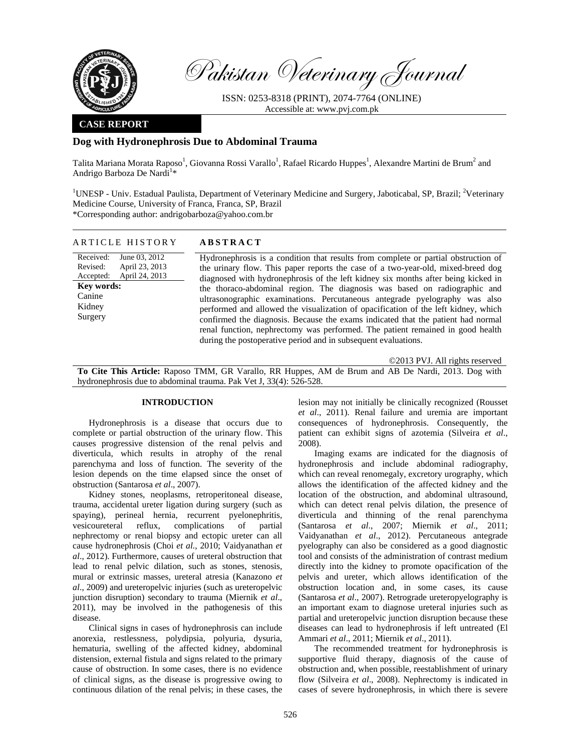

Received: Revised: Accepted:

**Key words:**  Canine Kidney Surgery

Pakistan Veterinary Journal

ISSN: 0253-8318 (PRINT), 2074-7764 (ONLINE) Accessible at: www.pvj.com.pk

## **CASE REPORT**

## **Dog with Hydronephrosis Due to Abdominal Trauma**

Talita Mariana Morata Raposo<sup>1</sup>, Giovanna Rossi Varallo<sup>1</sup>, Rafael Ricardo Huppes<sup>1</sup>, Alexandre Martini de Brum<sup>2</sup> and Andrigo Barboza De Nardi<sup>1</sup>\*

<sup>1</sup>UNESP - Univ. Estadual Paulista, Department of Veterinary Medicine and Surgery, Jaboticabal, SP, Brazil; <sup>2</sup>Veterinary Medicine Course, University of Franca, Franca, SP, Brazil \*Corresponding author: andrigobarboza@yahoo.com.br

| ARTICLE HISTORY | <b>ABSTRACT</b> |  |
|-----------------|-----------------|--|
|                 |                 |  |

June 03, 2012 April 23, 2013 April 24, 2013 Hydronephrosis is a condition that results from complete or partial obstruction of the urinary flow. This paper reports the case of a two-year-old, mixed-breed dog diagnosed with hydronephrosis of the left kidney six months after being kicked in the thoraco-abdominal region. The diagnosis was based on radiographic and ultrasonographic examinations. Percutaneous antegrade pyelography was also performed and allowed the visualization of opacification of the left kidney, which confirmed the diagnosis. Because the exams indicated that the patient had normal renal function, nephrectomy was performed. The patient remained in good health during the postoperative period and in subsequent evaluations.

©2013 PVJ. All rights reserved

**To Cite This Article:** Raposo TMM, GR Varallo, RR Huppes, AM de Brum and AB De Nardi, 2013. Dog with hydronephrosis due to abdominal trauma. Pak Vet J, 33(4): 526-528.

# **INTRODUCTION**

Hydronephrosis is a disease that occurs due to complete or partial obstruction of the urinary flow. This causes progressive distension of the renal pelvis and diverticula, which results in atrophy of the renal parenchyma and loss of function. The severity of the lesion depends on the time elapsed since the onset of obstruction (Santarosa *et al*., 2007).

Kidney stones, neoplasms, retroperitoneal disease, trauma, accidental ureter ligation during surgery (such as spaying), perineal hernia, recurrent pyelonephritis, vesicoureteral reflux, complications of partial nephrectomy or renal biopsy and ectopic ureter can all cause hydronephrosis (Choi *et al.*, 2010; Vaidyanathan *et al*., 2012). Furthermore, causes of ureteral obstruction that lead to renal pelvic dilation, such as stones, stenosis, mural or extrinsic masses, ureteral atresia (Kanazono *et al*., 2009) and ureteropelvic injuries (such as ureteropelvic junction disruption) secondary to trauma (Miernik *et al*., 2011), may be involved in the pathogenesis of this disease.

Clinical signs in cases of hydronephrosis can include anorexia, restlessness, polydipsia, polyuria, dysuria, hematuria, swelling of the affected kidney, abdominal distension, external fistula and signs related to the primary cause of obstruction. In some cases, there is no evidence of clinical signs, as the disease is progressive owing to continuous dilation of the renal pelvis; in these cases, the

lesion may not initially be clinically recognized (Rousset *et al*., 2011). Renal failure and uremia are important consequences of hydronephrosis. Consequently, the patient can exhibit signs of azotemia (Silveira *et al*., 2008).

Imaging exams are indicated for the diagnosis of hydronephrosis and include abdominal radiography, which can reveal renomegaly, excretory urography, which allows the identification of the affected kidney and the location of the obstruction, and abdominal ultrasound, which can detect renal pelvis dilation, the presence of diverticula and thinning of the renal parenchyma (Santarosa *et al*., 2007; Miernik *et al*., 2011; Vaidyanathan *et al*., 2012). Percutaneous antegrade pyelography can also be considered as a good diagnostic tool and consists of the administration of contrast medium directly into the kidney to promote opacification of the pelvis and ureter, which allows identification of the obstruction location and, in some cases, its cause (Santarosa *et al*., 2007). Retrograde ureteropyelography is an important exam to diagnose ureteral injuries such as partial and ureteropelvic junction disruption because these diseases can lead to hydronephrosis if left untreated (El Ammari *et al*., 2011; Miernik *et al*., 2011).

The recommended treatment for hydronephrosis is supportive fluid therapy, diagnosis of the cause of obstruction and, when possible, reestablishment of urinary flow (Silveira *et al*., 2008). Nephrectomy is indicated in cases of severe hydronephrosis, in which there is severe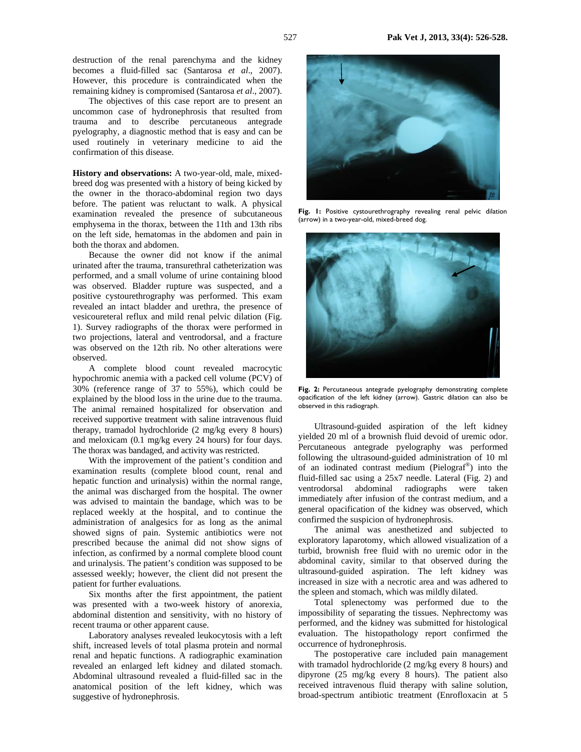destruction of the renal parenchyma and the kidney becomes a fluid-filled sac (Santarosa *et al*., 2007). However, this procedure is contraindicated when the remaining kidney is compromised (Santarosa *et al*., 2007).

The objectives of this case report are to present an uncommon case of hydronephrosis that resulted from trauma and to describe percutaneous antegrade pyelography, a diagnostic method that is easy and can be used routinely in veterinary medicine to aid the confirmation of this disease.

**History and observations:** A two-year-old, male, mixedbreed dog was presented with a history of being kicked by the owner in the thoraco-abdominal region two days before. The patient was reluctant to walk. A physical examination revealed the presence of subcutaneous emphysema in the thorax, between the 11th and 13th ribs on the left side, hematomas in the abdomen and pain in both the thorax and abdomen.

Because the owner did not know if the animal urinated after the trauma, transurethral catheterization was performed, and a small volume of urine containing blood was observed. Bladder rupture was suspected, and a positive cystourethrography was performed. This exam revealed an intact bladder and urethra, the presence of vesicoureteral reflux and mild renal pelvic dilation (Fig. 1). Survey radiographs of the thorax were performed in two projections, lateral and ventrodorsal, and a fracture was observed on the 12th rib. No other alterations were observed.

A complete blood count revealed macrocytic hypochromic anemia with a packed cell volume (PCV) of 30% (reference range of 37 to 55%), which could be explained by the blood loss in the urine due to the trauma. The animal remained hospitalized for observation and received supportive treatment with saline intravenous fluid therapy, tramadol hydrochloride (2 mg/kg every 8 hours) and meloxicam (0.1 mg/kg every 24 hours) for four days. The thorax was bandaged, and activity was restricted.

With the improvement of the patient's condition and examination results (complete blood count, renal and hepatic function and urinalysis) within the normal range, the animal was discharged from the hospital. The owner was advised to maintain the bandage, which was to be replaced weekly at the hospital, and to continue the administration of analgesics for as long as the animal showed signs of pain. Systemic antibiotics were not prescribed because the animal did not show signs of infection, as confirmed by a normal complete blood count and urinalysis. The patient's condition was supposed to be assessed weekly; however, the client did not present the patient for further evaluations.

Six months after the first appointment, the patient was presented with a two-week history of anorexia, abdominal distention and sensitivity, with no history of recent trauma or other apparent cause.

Laboratory analyses revealed leukocytosis with a left shift, increased levels of total plasma protein and normal renal and hepatic functions. A radiographic examination revealed an enlarged left kidney and dilated stomach. Abdominal ultrasound revealed a fluid-filled sac in the anatomical position of the left kidney, which was suggestive of hydronephrosis.



Fig. 1: Positive cystourethrography revealing renal pelvic dilation (arrow) in a two-year-old, mixed-breed dog.



**Fig. 2:** Percutaneous antegrade pyelography demonstrating complete opacification of the left kidney (arrow). Gastric dilation can also be observed in this radiograph.

Ultrasound-guided aspiration of the left kidney yielded 20 ml of a brownish fluid devoid of uremic odor. Percutaneous antegrade pyelography was performed following the ultrasound-guided administration of 10 ml of an iodinated contrast medium (Pielograf®) into the fluid-filled sac using a 25x7 needle. Lateral (Fig. 2) and ventrodorsal abdominal radiographs were taken immediately after infusion of the contrast medium, and a general opacification of the kidney was observed, which confirmed the suspicion of hydronephrosis.

The animal was anesthetized and subjected to exploratory laparotomy, which allowed visualization of a turbid, brownish free fluid with no uremic odor in the abdominal cavity, similar to that observed during the ultrasound-guided aspiration. The left kidney was increased in size with a necrotic area and was adhered to the spleen and stomach, which was mildly dilated.

Total splenectomy was performed due to the impossibility of separating the tissues. Nephrectomy was performed, and the kidney was submitted for histological evaluation. The histopathology report confirmed the occurrence of hydronephrosis.

The postoperative care included pain management with tramadol hydrochloride (2 mg/kg every 8 hours) and dipyrone (25 mg/kg every 8 hours). The patient also received intravenous fluid therapy with saline solution, broad-spectrum antibiotic treatment (Enrofloxacin at 5